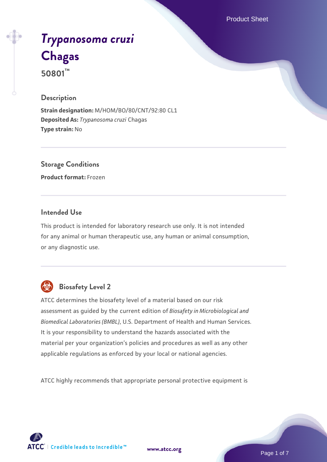Product Sheet

# *[Trypanosoma cruzi](https://www.atcc.org/products/50801)* **[Chagas](https://www.atcc.org/products/50801) 50801™**

#### **Description**

**Strain designation:** M/HOM/BO/80/CNT/92:80 CL1 **Deposited As:** *Trypanosoma cruzi* Chagas **Type strain:** No

**Storage Conditions**

**Product format:** Frozen

#### **Intended Use**

This product is intended for laboratory research use only. It is not intended for any animal or human therapeutic use, any human or animal consumption, or any diagnostic use.



## **Biosafety Level 2**

ATCC determines the biosafety level of a material based on our risk assessment as guided by the current edition of *Biosafety in Microbiological and Biomedical Laboratories (BMBL)*, U.S. Department of Health and Human Services. It is your responsibility to understand the hazards associated with the material per your organization's policies and procedures as well as any other applicable regulations as enforced by your local or national agencies.

ATCC highly recommends that appropriate personal protective equipment is

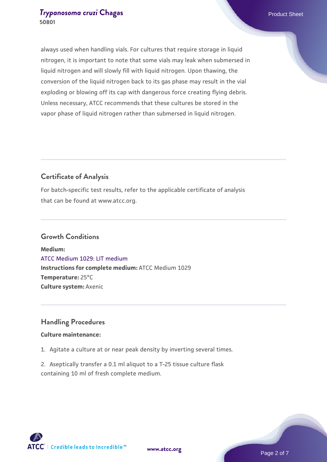always used when handling vials. For cultures that require storage in liquid nitrogen, it is important to note that some vials may leak when submersed in liquid nitrogen and will slowly fill with liquid nitrogen. Upon thawing, the conversion of the liquid nitrogen back to its gas phase may result in the vial exploding or blowing off its cap with dangerous force creating flying debris. Unless necessary, ATCC recommends that these cultures be stored in the vapor phase of liquid nitrogen rather than submersed in liquid nitrogen.

#### **Certificate of Analysis**

For batch-specific test results, refer to the applicable certificate of analysis that can be found at www.atcc.org.

#### **Growth Conditions**

**Medium:**  [ATCC Medium 1029: LIT medium](https://www.atcc.org/-/media/product-assets/documents/microbial-media-formulations/1/0/2/9/atcc-medium-1029.pdf?rev=009b0128e05943ff8e9a510a8b4def08) **Instructions for complete medium:** ATCC Medium 1029 **Temperature:** 25°C **Culture system:** Axenic

#### **Handling Procedures**

#### **Culture maintenance:**

1. Agitate a culture at or near peak density by inverting several times.

2. Aseptically transfer a 0.1 ml aliquot to a T-25 tissue culture flask containing 10 ml of fresh complete medium.

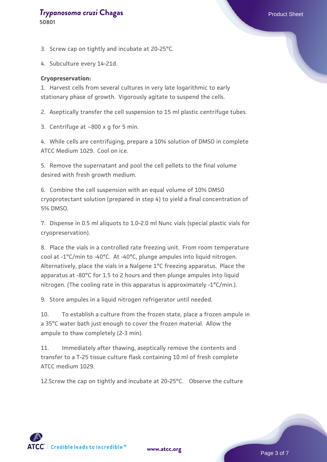**50801**

3. Screw cap on tightly and incubate at 20-25°C.

4. Subculture every 14-21d.

#### **Cryopreservation:**

1. Harvest cells from several cultures in very late logarithmic to early stationary phase of growth. Vigorously agitate to suspend the cells.

2. Aseptically transfer the cell suspension to 15 ml plastic centrifuge tubes.

3. Centrifuge at  $\sim$ 800 x g for 5 min.

4. While cells are centrifuging, prepare a 10% solution of DMSO in complete ATCC Medium 1029. Cool on ice.

5. Remove the supernatant and pool the cell pellets to the final volume desired with fresh growth medium.

6. Combine the cell suspension with an equal volume of 10% DMSO cryoprotectant solution (prepared in step 4) to yield a final concentration of 5% DMSO.

7. Dispense in 0.5 ml aliquots to 1.0-2.0 ml Nunc vials (special plastic vials for cryopreservation).

8. Place the vials in a controlled rate freezing unit. From room temperature cool at -1°C/min to -40°C. At -40°C, plunge ampules into liquid nitrogen. Alternatively, place the vials in a Nalgene 1°C freezing apparatus. Place the apparatus at -80°C for 1.5 to 2 hours and then plunge ampules into liquid nitrogen. (The cooling rate in this apparatus is approximately -1°C/min.).

9. Store ampules in a liquid nitrogen refrigerator until needed.

10. To establish a culture from the frozen state, place a frozen ampule in a 35°C water bath just enough to cover the frozen material. Allow the ampule to thaw completely (2-3 min).

11. Immediately after thawing, aseptically remove the contents and transfer to a T-25 tissue culture flask containing 10 ml of fresh complete ATCC medium 1029.

12.Screw the cap on tightly and incubate at 20-25°C. Observe the culture

**[www.atcc.org](http://www.atcc.org)**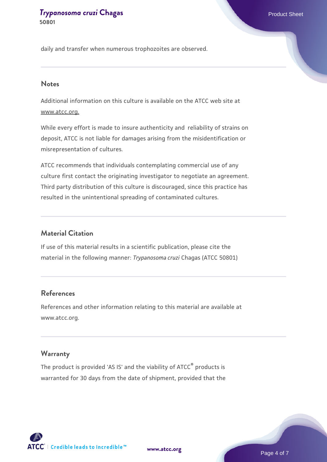daily and transfer when numerous trophozoites are observed.

#### **Notes**

Additional information on this culture is available on the ATCC web site at www.atcc.org.

While every effort is made to insure authenticity and reliability of strains on deposit, ATCC is not liable for damages arising from the misidentification or misrepresentation of cultures.

ATCC recommends that individuals contemplating commercial use of any culture first contact the originating investigator to negotiate an agreement. Third party distribution of this culture is discouraged, since this practice has resulted in the unintentional spreading of contaminated cultures.

#### **Material Citation**

If use of this material results in a scientific publication, please cite the material in the following manner: *Trypanosoma cruzi* Chagas (ATCC 50801)

#### **References**

References and other information relating to this material are available at www.atcc.org.

#### **Warranty**

The product is provided 'AS IS' and the viability of ATCC® products is warranted for 30 days from the date of shipment, provided that the



**[www.atcc.org](http://www.atcc.org)**

Page 4 of 7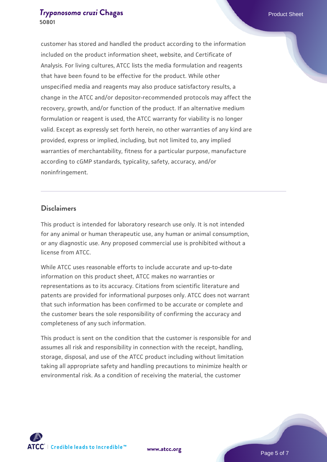customer has stored and handled the product according to the information included on the product information sheet, website, and Certificate of Analysis. For living cultures, ATCC lists the media formulation and reagents that have been found to be effective for the product. While other unspecified media and reagents may also produce satisfactory results, a change in the ATCC and/or depositor-recommended protocols may affect the recovery, growth, and/or function of the product. If an alternative medium formulation or reagent is used, the ATCC warranty for viability is no longer valid. Except as expressly set forth herein, no other warranties of any kind are provided, express or implied, including, but not limited to, any implied warranties of merchantability, fitness for a particular purpose, manufacture according to cGMP standards, typicality, safety, accuracy, and/or noninfringement.

#### **Disclaimers**

This product is intended for laboratory research use only. It is not intended for any animal or human therapeutic use, any human or animal consumption, or any diagnostic use. Any proposed commercial use is prohibited without a license from ATCC.

While ATCC uses reasonable efforts to include accurate and up-to-date information on this product sheet, ATCC makes no warranties or representations as to its accuracy. Citations from scientific literature and patents are provided for informational purposes only. ATCC does not warrant that such information has been confirmed to be accurate or complete and the customer bears the sole responsibility of confirming the accuracy and completeness of any such information.

This product is sent on the condition that the customer is responsible for and assumes all risk and responsibility in connection with the receipt, handling, storage, disposal, and use of the ATCC product including without limitation taking all appropriate safety and handling precautions to minimize health or environmental risk. As a condition of receiving the material, the customer



**[www.atcc.org](http://www.atcc.org)**

Page 5 of 7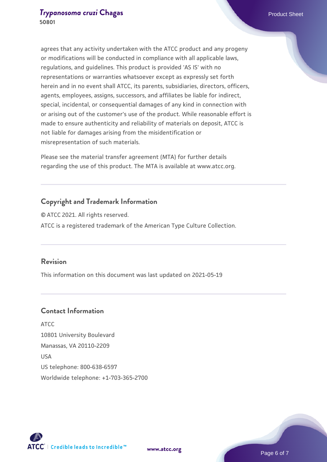agrees that any activity undertaken with the ATCC product and any progeny or modifications will be conducted in compliance with all applicable laws, regulations, and guidelines. This product is provided 'AS IS' with no representations or warranties whatsoever except as expressly set forth herein and in no event shall ATCC, its parents, subsidiaries, directors, officers, agents, employees, assigns, successors, and affiliates be liable for indirect, special, incidental, or consequential damages of any kind in connection with or arising out of the customer's use of the product. While reasonable effort is made to ensure authenticity and reliability of materials on deposit, ATCC is not liable for damages arising from the misidentification or misrepresentation of such materials.

Please see the material transfer agreement (MTA) for further details regarding the use of this product. The MTA is available at www.atcc.org.

#### **Copyright and Trademark Information**

© ATCC 2021. All rights reserved. ATCC is a registered trademark of the American Type Culture Collection.

#### **Revision**

This information on this document was last updated on 2021-05-19

#### **Contact Information**

ATCC 10801 University Boulevard Manassas, VA 20110-2209 USA US telephone: 800-638-6597 Worldwide telephone: +1-703-365-2700